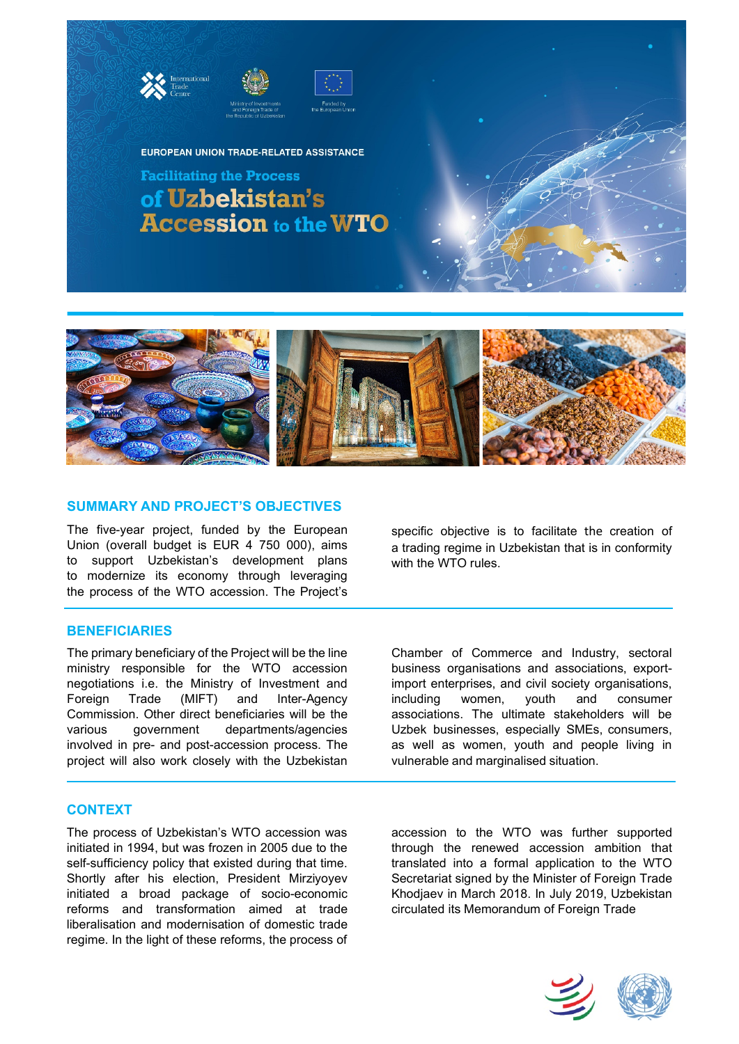



EUROPEAN UNION TRADE-RELATED ASSISTANCE

**Facilitating the Process** of Uzbekistan's **Accession to the WTO** 



# **SUMMARY AND PROJECT'S OBJECTIVES**

The five-year project, funded by the European Union (overall budget is EUR 4 750 000), aims to support Uzbekistan's development plans to modernize its economy through leveraging the process of the WTO accession. The Project's

# **BENEFICIARIES**

The primary beneficiary of the Project will be the line ministry responsible for the WTO accession negotiations i.e. the Ministry of Investment and Foreign Trade (MIFT) and Inter-Agency Commission. Other direct beneficiaries will be the various government departments/agencies involved in pre- and post-accession process. The project will also work closely with the Uzbekistan

## **CONTEXT**

The process of Uzbekistan's WTO accession was initiated in 1994, but was frozen in 2005 due to the self-sufficiency policy that existed during that time. Shortly after his election, President Mirziyoyev initiated a broad package of socio-economic reforms and transformation aimed at trade liberalisation and modernisation of domestic trade regime. In the light of these reforms, the process of

specific objective is to facilitate the creation of a trading regime in Uzbekistan that is in conformity with the WTO rules.

Chamber of Commerce and Industry, sectoral business organisations and associations, exportimport enterprises, and civil society organisations, including women, youth and consumer associations. The ultimate stakeholders will be Uzbek businesses, especially SMEs, consumers, as well as women, youth and people living in vulnerable and marginalised situation.

accession to the WTO was further supported through the renewed accession ambition that translated into a formal application to the WTO Secretariat signed by the Minister of Foreign Trade Khodjaev in March 2018. In July 2019, Uzbekistan circulated its Memorandum of Foreign Trade